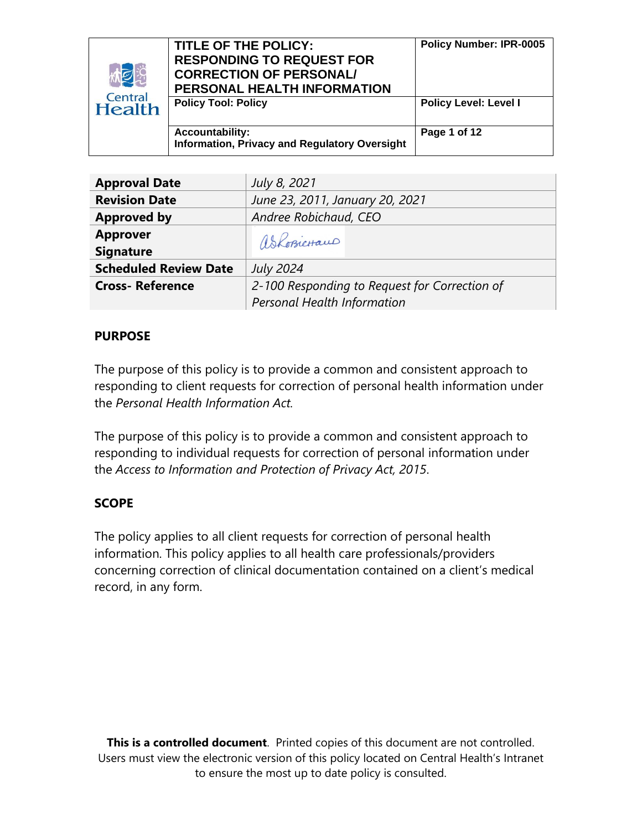| 水包<br>Central<br><b>Health</b> | TITLE OF THE POLICY:<br><b>RESPONDING TO REQUEST FOR</b><br><b>CORRECTION OF PERSONAL/</b><br>PERSONAL HEALTH INFORMATION<br><b>Policy Tool: Policy</b> | <b>Policy Number: IPR-0005</b><br><b>Policy Level: Level I</b> |
|--------------------------------|---------------------------------------------------------------------------------------------------------------------------------------------------------|----------------------------------------------------------------|
|                                | <b>Accountability:</b><br><b>Information, Privacy and Regulatory Oversight</b>                                                                          | Page 1 of 12                                                   |

| <b>Approval Date</b>         | July 8, 2021                                  |  |
|------------------------------|-----------------------------------------------|--|
| <b>Revision Date</b>         | June 23, 2011, January 20, 2021               |  |
| <b>Approved by</b>           | Andree Robichaud, CEO                         |  |
| <b>Approver</b>              | askosicHaup                                   |  |
| <b>Signature</b>             |                                               |  |
| <b>Scheduled Review Date</b> | <b>July 2024</b>                              |  |
| <b>Cross-Reference</b>       | 2-100 Responding to Request for Correction of |  |
|                              | Personal Health Information                   |  |

### **PURPOSE**

The purpose of this policy is to provide a common and consistent approach to responding to client requests for correction of personal health information under the *Personal Health Information Act.* 

The purpose of this policy is to provide a common and consistent approach to responding to individual requests for correction of personal information under the *Access to Information and Protection of Privacy Act, 2015*.

## **SCOPE**

The policy applies to all client requests for correction of personal health information. This policy applies to all health care professionals/providers concerning correction of clinical documentation contained on a client's medical record, in any form.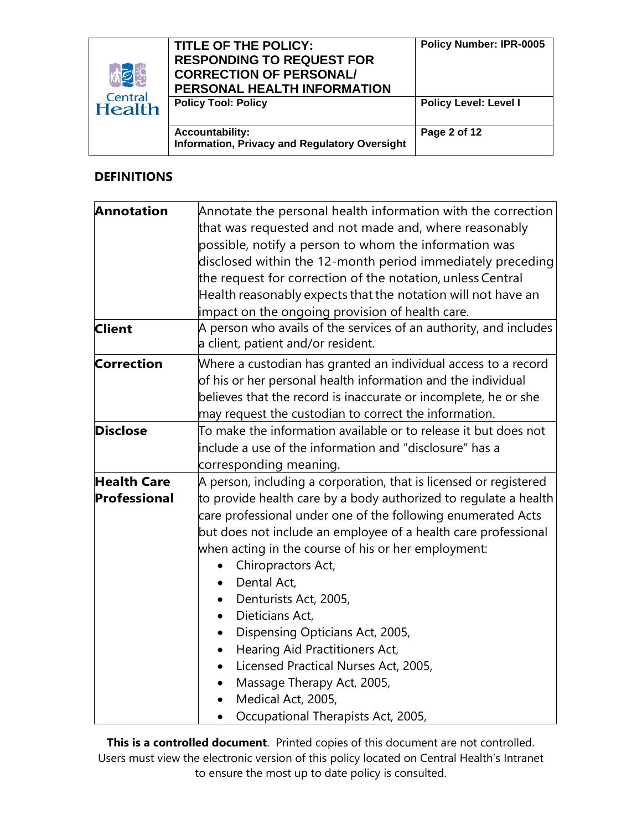| 林园<br>Central | TITLE OF THE POLICY:<br><b>RESPONDING TO REQUEST FOR</b><br><b>CORRECTION OF PERSONAL/</b><br>PERSONAL HEALTH INFORMATION | <b>Policy Number: IPR-0005</b> |
|---------------|---------------------------------------------------------------------------------------------------------------------------|--------------------------------|
| <b>Health</b> | <b>Policy Tool: Policy</b>                                                                                                | <b>Policy Level: Level I</b>   |
|               | <b>Accountability:</b><br><b>Information, Privacy and Regulatory Oversight</b>                                            | Page 2 of 12                   |

## **DEFINITIONS**

| Annotation         | Annotate the personal health information with the correction<br>that was requested and not made and, where reasonably |  |  |
|--------------------|-----------------------------------------------------------------------------------------------------------------------|--|--|
|                    | possible, notify a person to whom the information was                                                                 |  |  |
|                    | disclosed within the 12-month period immediately preceding                                                            |  |  |
|                    | the request for correction of the notation, unless Central                                                            |  |  |
|                    | Health reasonably expects that the notation will not have an                                                          |  |  |
|                    |                                                                                                                       |  |  |
|                    | impact on the ongoing provision of health care.                                                                       |  |  |
| <b>Client</b>      | $\,$ A person who avails of the services of an authority, and includes                                                |  |  |
|                    | a client, patient and/or resident.                                                                                    |  |  |
| Correction         | Where a custodian has granted an individual access to a record                                                        |  |  |
|                    | of his or her personal health information and the individual                                                          |  |  |
|                    | believes that the record is inaccurate or incomplete, he or she                                                       |  |  |
|                    | may request the custodian to correct the information.                                                                 |  |  |
| <b>Disclose</b>    | To make the information available or to release it but does not                                                       |  |  |
|                    | include a use of the information and "disclosure" has a                                                               |  |  |
|                    | corresponding meaning.                                                                                                |  |  |
| <b>Health Care</b> | A person, including a corporation, that is licensed or registered                                                     |  |  |
| Professional       | to provide health care by a body authorized to regulate a health                                                      |  |  |
|                    | care professional under one of the following enumerated Acts                                                          |  |  |
|                    | but does not include an employee of a health care professional                                                        |  |  |
|                    | when acting in the course of his or her employment:                                                                   |  |  |
|                    | Chiropractors Act,<br>$\bullet$                                                                                       |  |  |
|                    | Dental Act,                                                                                                           |  |  |
|                    | Denturists Act, 2005,                                                                                                 |  |  |
|                    | Dieticians Act,                                                                                                       |  |  |
|                    | Dispensing Opticians Act, 2005,                                                                                       |  |  |
|                    | Hearing Aid Practitioners Act,<br>$\bullet$                                                                           |  |  |
|                    | Licensed Practical Nurses Act, 2005,<br>$\bullet$                                                                     |  |  |
|                    | Massage Therapy Act, 2005,<br>$\bullet$                                                                               |  |  |
|                    | Medical Act, 2005,                                                                                                    |  |  |
|                    | Occupational Therapists Act, 2005,                                                                                    |  |  |
|                    |                                                                                                                       |  |  |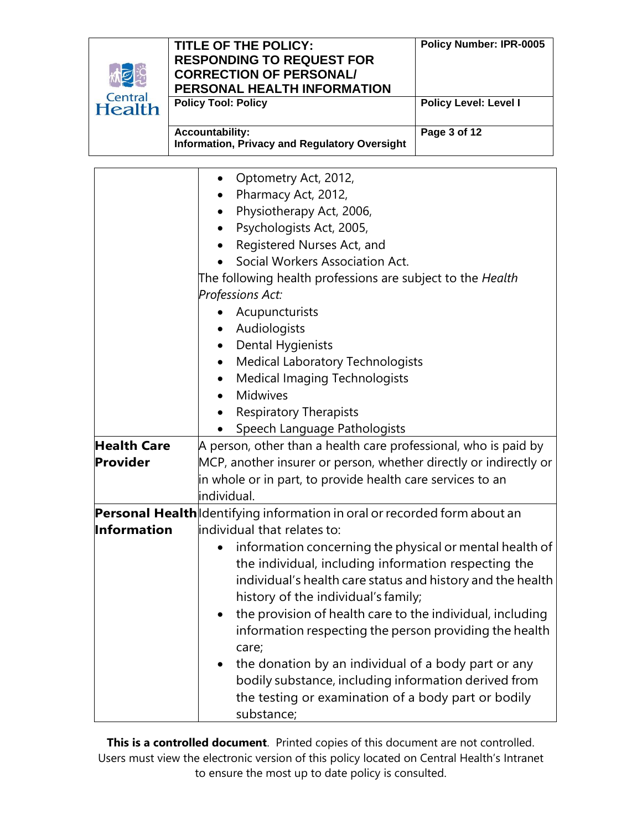| $M$ $\geq$<br>Central<br>Health | TITLE OF THE POLICY:<br><b>RESPONDING TO REQUEST FOR</b><br><b>CORRECTION OF PERSONAL/</b><br>PERSONAL HEALTH INFORMATION<br><b>Policy Tool: Policy</b> | <b>Policy Number: IPR-0005</b><br><b>Policy Level: Level I</b> |
|---------------------------------|---------------------------------------------------------------------------------------------------------------------------------------------------------|----------------------------------------------------------------|
|                                 | <b>Accountability:</b><br><b>Information, Privacy and Regulatory Oversight</b>                                                                          | Page 3 of 12                                                   |

| Optometry Act, 2012,<br>$\bullet$                                               |  |
|---------------------------------------------------------------------------------|--|
| Pharmacy Act, 2012,                                                             |  |
| Physiotherapy Act, 2006,                                                        |  |
|                                                                                 |  |
| Psychologists Act, 2005,                                                        |  |
| Registered Nurses Act, and                                                      |  |
| Social Workers Association Act.                                                 |  |
| The following health professions are subject to the Health                      |  |
| Professions Act:                                                                |  |
| Acupuncturists                                                                  |  |
| Audiologists                                                                    |  |
| Dental Hygienists<br>$\bullet$                                                  |  |
| <b>Medical Laboratory Technologists</b>                                         |  |
| <b>Medical Imaging Technologists</b>                                            |  |
| Midwives<br>$\bullet$                                                           |  |
| <b>Respiratory Therapists</b>                                                   |  |
| Speech Language Pathologists                                                    |  |
| A person, other than a health care professional, who is paid by                 |  |
| MCP, another insurer or person, whether directly or indirectly or               |  |
| in whole or in part, to provide health care services to an                      |  |
| individual.                                                                     |  |
| <b>Personal Health</b> dentifying information in oral or recorded form about an |  |
| lindividual that relates to:                                                    |  |
| information concerning the physical or mental health of                         |  |
| the individual, including information respecting the                            |  |
| individual's health care status and history and the health                      |  |
| history of the individual's family;                                             |  |
| the provision of health care to the individual, including                       |  |
| information respecting the person providing the health                          |  |
| care;                                                                           |  |
| the donation by an individual of a body part or any                             |  |
| bodily substance, including information derived from                            |  |
| the testing or examination of a body part or bodily                             |  |
| substance;                                                                      |  |
|                                                                                 |  |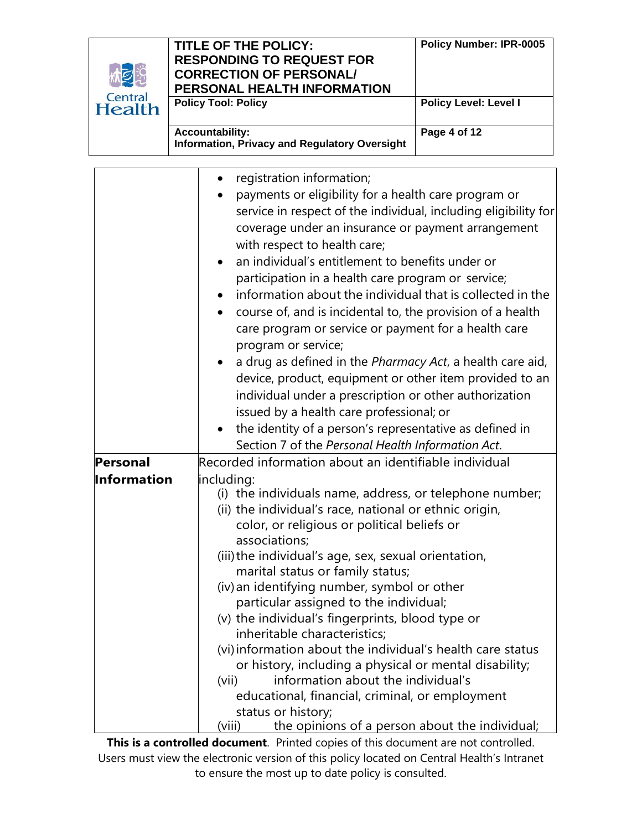

#### **TITLE OF THE POLICY: RESPONDING TO REQUEST FOR CORRECTION OF PERSONAL/ PERSONAL HEALTH INFORMATION Policy Tool: Policy Policy Level: Level I**

**Accountability: Information, Privacy and Regulatory Oversight Page 4 of 12**

|             | registration information;<br>$\bullet$                                         |  |
|-------------|--------------------------------------------------------------------------------|--|
|             | payments or eligibility for a health care program or                           |  |
|             | service in respect of the individual, including eligibility for                |  |
|             | coverage under an insurance or payment arrangement                             |  |
|             | with respect to health care;                                                   |  |
|             | an individual's entitlement to benefits under or                               |  |
|             | participation in a health care program or service;                             |  |
|             | information about the individual that is collected in the                      |  |
|             | course of, and is incidental to, the provision of a health                     |  |
|             | care program or service or payment for a health care                           |  |
|             | program or service;                                                            |  |
|             | a drug as defined in the Pharmacy Act, a health care aid,                      |  |
|             | device, product, equipment or other item provided to an                        |  |
|             | individual under a prescription or other authorization                         |  |
|             | issued by a health care professional; or                                       |  |
|             | the identity of a person's representative as defined in<br>$\bullet$           |  |
|             | Section 7 of the Personal Health Information Act.                              |  |
| Personal    | Recorded information about an identifiable individual                          |  |
| Information |                                                                                |  |
|             | including:<br>(i) the individuals name, address, or telephone number;          |  |
|             | (ii) the individual's race, national or ethnic origin,                         |  |
|             | color, or religious or political beliefs or                                    |  |
|             | associations;                                                                  |  |
|             | (iii) the individual's age, sex, sexual orientation,                           |  |
|             | marital status or family status;                                               |  |
|             | (iv) an identifying number, symbol or other                                    |  |
|             | particular assigned to the individual;                                         |  |
|             | (v) the individual's fingerprints, blood type or                               |  |
|             | inheritable characteristics;                                                   |  |
|             | (vi) information about the individual's health care status                     |  |
|             | or history, including a physical or mental disability;                         |  |
|             | information about the individual's<br>(vii)                                    |  |
|             | educational, financial, criminal, or employment                                |  |
|             | status or history;<br>the opinions of a person about the individual;<br>(viii) |  |
|             |                                                                                |  |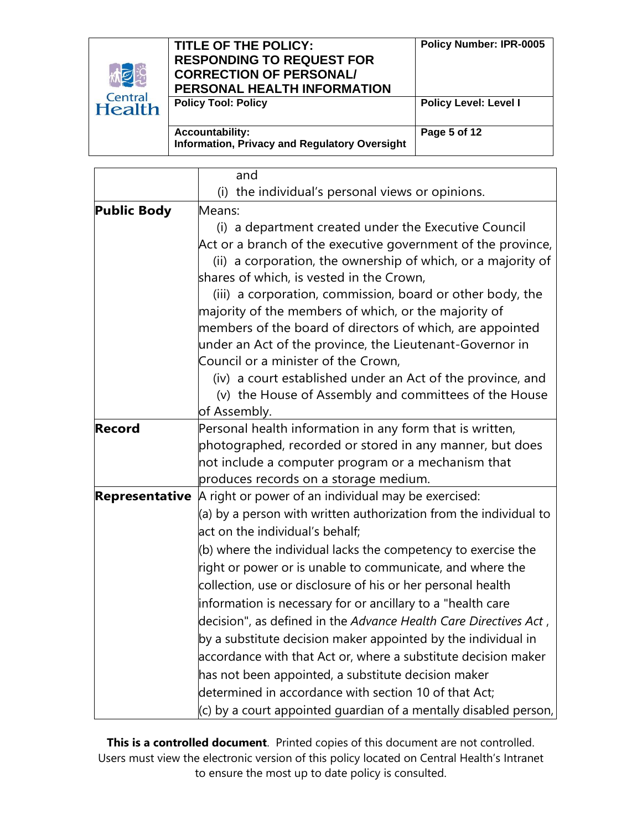

#### **TITLE OF THE POLICY: RESPONDING TO REQUEST FOR CORRECTION OF PERSONAL/ PERSONAL HEALTH INFORMATION Policy Tool: Policy Policy Level: Level I**

**Accountability: Information, Privacy and Regulatory Oversight Page 5 of 12**

|                    | and                                                                       |  |  |
|--------------------|---------------------------------------------------------------------------|--|--|
|                    | (i) the individual's personal views or opinions.                          |  |  |
| <b>Public Body</b> | Means:                                                                    |  |  |
|                    | (i) a department created under the Executive Council                      |  |  |
|                    | Act or a branch of the executive government of the province,              |  |  |
|                    | (ii) a corporation, the ownership of which, or a majority of              |  |  |
|                    | shares of which, is vested in the Crown,                                  |  |  |
|                    | (iii) a corporation, commission, board or other body, the                 |  |  |
|                    | majority of the members of which, or the majority of                      |  |  |
|                    | members of the board of directors of which, are appointed                 |  |  |
|                    | under an Act of the province, the Lieutenant-Governor in                  |  |  |
|                    | Council or a minister of the Crown,                                       |  |  |
|                    | (iv) a court established under an Act of the province, and                |  |  |
|                    | (v) the House of Assembly and committees of the House                     |  |  |
|                    | of Assembly.                                                              |  |  |
| <b>Record</b>      | Personal health information in any form that is written,                  |  |  |
|                    | photographed, recorded or stored in any manner, but does                  |  |  |
|                    | not include a computer program or a mechanism that                        |  |  |
|                    | produces records on a storage medium.                                     |  |  |
|                    | <b>Representative</b> A right or power of an individual may be exercised: |  |  |
|                    | (a) by a person with written authorization from the individual to         |  |  |
|                    | act on the individual's behalf;                                           |  |  |
|                    | (b) where the individual lacks the competency to exercise the             |  |  |
|                    | right or power or is unable to communicate, and where the                 |  |  |
|                    | collection, use or disclosure of his or her personal health               |  |  |
|                    | information is necessary for or ancillary to a "health care               |  |  |
|                    | decision", as defined in the Advance Health Care Directives Act,          |  |  |
|                    | by a substitute decision maker appointed by the individual in             |  |  |
|                    | accordance with that Act or, where a substitute decision maker            |  |  |
|                    | has not been appointed, a substitute decision maker                       |  |  |
|                    | determined in accordance with section 10 of that Act;                     |  |  |
|                    | $(c)$ by a court appointed guardian of a mentally disabled person,        |  |  |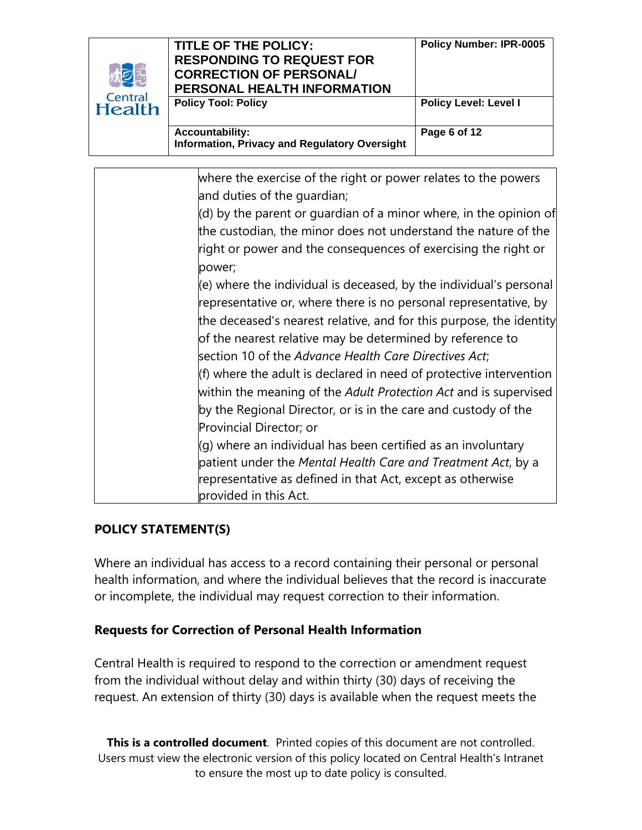

#### **TITLE OF THE POLICY: RESPONDING TO REQUEST FOR CORRECTION OF PERSONAL/ PERSONAL HEALTH INFORMATION Policy Tool: Policy Policy Level: Level I**

**Page 6 of 12**

**Accountability: Information, Privacy and Regulatory Oversight** 

| where the exercise of the right or power relates to the powers       |
|----------------------------------------------------------------------|
| and duties of the quardian;                                          |
| (d) by the parent or quardian of a minor where, in the opinion of    |
| the custodian, the minor does not understand the nature of the       |
| right or power and the consequences of exercising the right or       |
| power;                                                               |
| (e) where the individual is deceased, by the individual's personal   |
| representative or, where there is no personal representative, by     |
| the deceased's nearest relative, and for this purpose, the identity  |
| of the nearest relative may be determined by reference to            |
| section 10 of the Advance Health Care Directives Act;                |
| $(f)$ where the adult is declared in need of protective intervention |
| within the meaning of the Adult Protection Act and is supervised     |
| by the Regional Director, or is in the care and custody of the       |
| Provincial Director; or                                              |
| (g) where an individual has been certified as an involuntary         |
| patient under the Mental Health Care and Treatment Act, by a         |
| representative as defined in that Act, except as otherwise           |
| provided in this Act.                                                |

# **POLICY STATEMENT(S)**

Where an individual has access to a record containing their personal or personal health information, and where the individual believes that the record is inaccurate or incomplete, the individual may request correction to their information.

# **Requests for Correction of Personal Health Information**

Central Health is required to respond to the correction or amendment request from the individual without delay and within thirty (30) days of receiving the request. An extension of thirty (30) days is available when the request meets the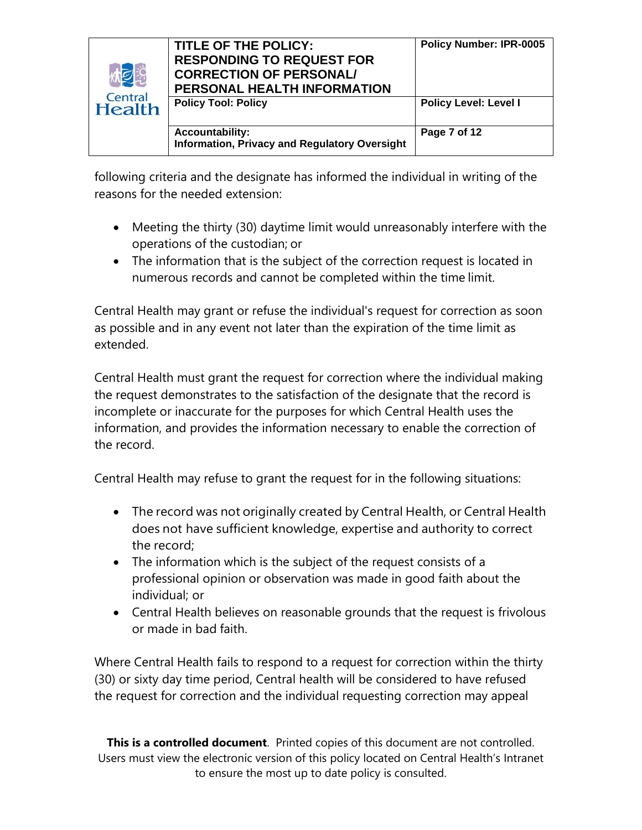| 林园                       | TITLE OF THE POLICY:<br><b>RESPONDING TO REQUEST FOR</b><br><b>CORRECTION OF PERSONAL/</b><br>PERSONAL HEALTH INFORMATION | <b>Policy Number: IPR-0005</b> |
|--------------------------|---------------------------------------------------------------------------------------------------------------------------|--------------------------------|
| Central<br><b>Health</b> | <b>Policy Tool: Policy</b>                                                                                                | <b>Policy Level: Level I</b>   |
|                          | <b>Accountability:</b><br><b>Information, Privacy and Regulatory Oversight</b>                                            | Page 7 of 12                   |

following criteria and the designate has informed the individual in writing of the reasons for the needed extension:

- Meeting the thirty (30) daytime limit would unreasonably interfere with the operations of the custodian; or
- The information that is the subject of the correction request is located in numerous records and cannot be completed within the time limit.

Central Health may grant or refuse the individual's request for correction as soon as possible and in any event not later than the expiration of the time limit as extended.

Central Health must grant the request for correction where the individual making the request demonstrates to the satisfaction of the designate that the record is incomplete or inaccurate for the purposes for which Central Health uses the information, and provides the information necessary to enable the correction of the record.

Central Health may refuse to grant the request for in the following situations:

- The record was not originally created by Central Health, or Central Health does not have sufficient knowledge, expertise and authority to correct the record;
- The information which is the subject of the request consists of a professional opinion or observation was made in good faith about the individual; or
- Central Health believes on reasonable grounds that the request is frivolous or made in bad faith.

Where Central Health fails to respond to a request for correction within the thirty (30) or sixty day time period, Central health will be considered to have refused the request for correction and the individual requesting correction may appeal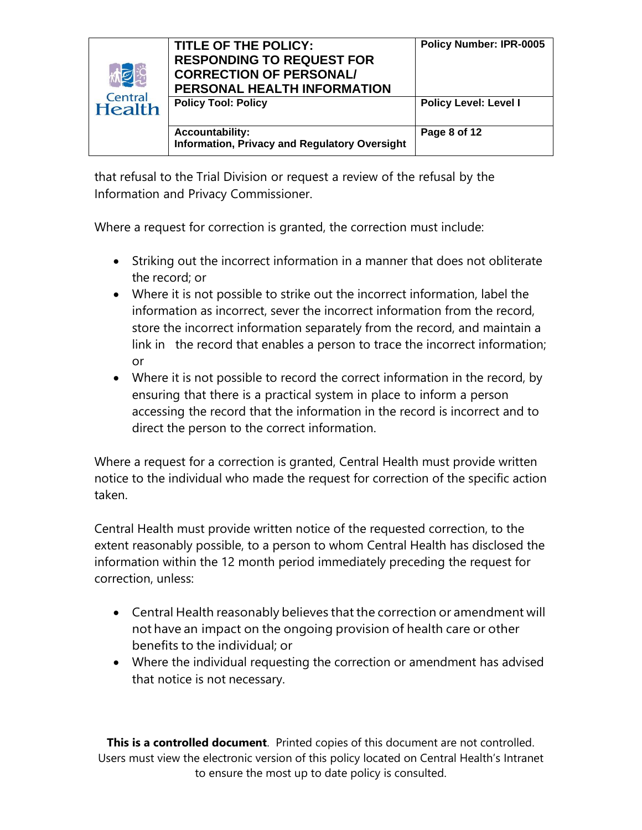| 林园                       | TITLE OF THE POLICY:<br><b>RESPONDING TO REQUEST FOR</b><br><b>CORRECTION OF PERSONAL/</b><br>PERSONAL HEALTH INFORMATION | <b>Policy Number: IPR-0005</b> |
|--------------------------|---------------------------------------------------------------------------------------------------------------------------|--------------------------------|
| Central<br><b>Health</b> | <b>Policy Tool: Policy</b>                                                                                                | <b>Policy Level: Level I</b>   |
|                          | <b>Accountability:</b><br><b>Information, Privacy and Regulatory Oversight</b>                                            | Page 8 of 12                   |

that refusal to the Trial Division or request a review of the refusal by the Information and Privacy Commissioner.

Where a request for correction is granted, the correction must include:

- Striking out the incorrect information in a manner that does not obliterate the record; or
- Where it is not possible to strike out the incorrect information, label the information as incorrect, sever the incorrect information from the record, store the incorrect information separately from the record, and maintain a link in the record that enables a person to trace the incorrect information; or
- Where it is not possible to record the correct information in the record, by ensuring that there is a practical system in place to inform a person accessing the record that the information in the record is incorrect and to direct the person to the correct information.

Where a request for a correction is granted, Central Health must provide written notice to the individual who made the request for correction of the specific action taken.

Central Health must provide written notice of the requested correction, to the extent reasonably possible, to a person to whom Central Health has disclosed the information within the 12 month period immediately preceding the request for correction, unless:

- Central Health reasonably believes that the correction or amendment will not have an impact on the ongoing provision of health care or other benefits to the individual; or
- Where the individual requesting the correction or amendment has advised that notice is not necessary.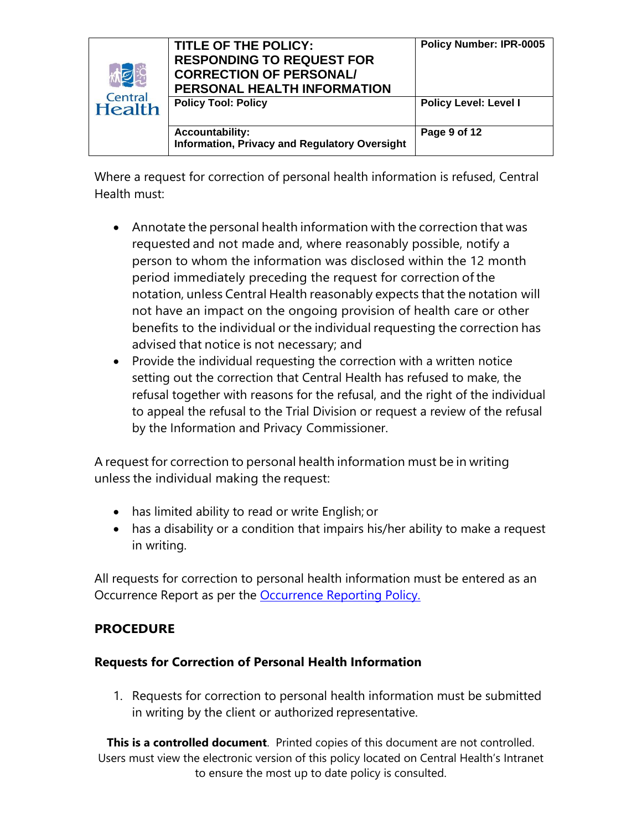| 林园                       | TITLE OF THE POLICY:<br><b>RESPONDING TO REQUEST FOR</b><br><b>CORRECTION OF PERSONAL/</b><br>PERSONAL HEALTH INFORMATION | <b>Policy Number: IPR-0005</b> |
|--------------------------|---------------------------------------------------------------------------------------------------------------------------|--------------------------------|
| Central<br><b>Health</b> | <b>Policy Tool: Policy</b>                                                                                                | <b>Policy Level: Level I</b>   |
|                          | <b>Accountability:</b><br><b>Information, Privacy and Regulatory Oversight</b>                                            | Page 9 of 12                   |

Where a request for correction of personal health information is refused, Central Health must:

- Annotate the personal health information with the correction that was requested and not made and, where reasonably possible, notify a person to whom the information was disclosed within the 12 month period immediately preceding the request for correction of the notation, unless Central Health reasonably expects that the notation will not have an impact on the ongoing provision of health care or other benefits to the individual or the individual requesting the correction has advised that notice is not necessary; and
- Provide the individual requesting the correction with a written notice setting out the correction that Central Health has refused to make, the refusal together with reasons for the refusal, and the right of the individual to appeal the refusal to the Trial Division or request a review of the refusal by the Information and Privacy Commissioner.

A request for correction to personal health information must be in writing unless the individual making the request:

- has limited ability to read or write English; or
- has a disability or a condition that impairs his/her ability to make a request in writing.

All requests for correction to personal health information must be entered as an Occurrence Report as per the [Occurrence Reporting Policy.](http://chintranet/pp/Administration/Clincial%20Safety%20Reporting%20System%20(CSRS)%20Policy.pdf)

## **PROCEDURE**

### **Requests for Correction of Personal Health Information**

1. Requests for correction to personal health information must be submitted in writing by the client or authorized representative.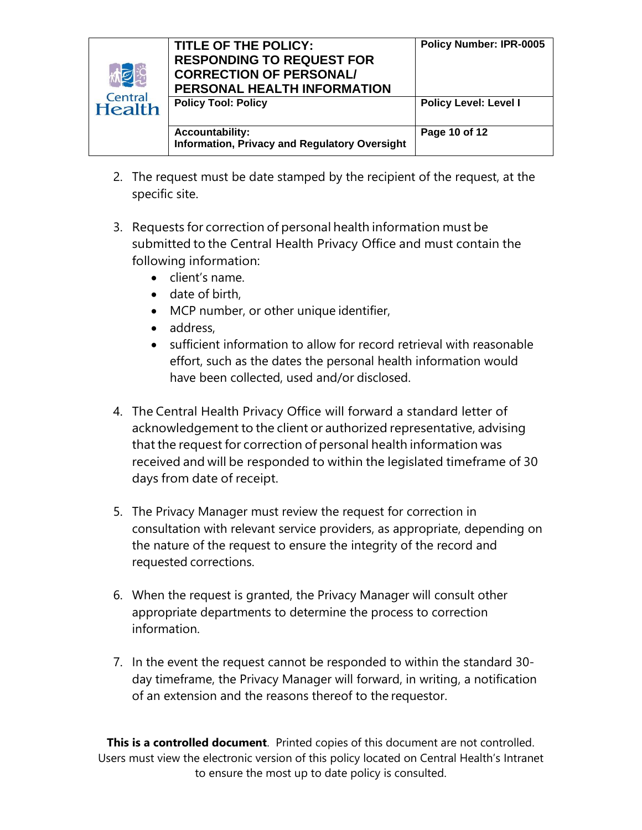| Ø                        | TITLE OF THE POLICY:                                 | <b>Policy Number: IPR-0005</b> |
|--------------------------|------------------------------------------------------|--------------------------------|
|                          | <b>RESPONDING TO REQUEST FOR</b>                     |                                |
|                          | <b>CORRECTION OF PERSONAL/</b>                       |                                |
|                          | PERSONAL HEALTH INFORMATION                          |                                |
| Central<br><b>Health</b> | <b>Policy Tool: Policy</b>                           | <b>Policy Level: Level I</b>   |
|                          |                                                      |                                |
|                          | <b>Accountability:</b>                               | Page 10 of 12                  |
|                          | <b>Information, Privacy and Regulatory Oversight</b> |                                |
|                          |                                                      |                                |

- 2. The request must be date stamped by the recipient of the request, at the specific site.
- 3. Requests for correction of personal health information must be submitted to the Central Health Privacy Office and must contain the following information:
	- client's name.
	- date of birth,
	- MCP number, or other unique identifier,
	- address,
	- sufficient information to allow for record retrieval with reasonable effort, such as the dates the personal health information would have been collected, used and/or disclosed.
- 4. The Central Health Privacy Office will forward a standard letter of acknowledgement to the client or authorized representative, advising that the request for correction of personal health information was received and will be responded to within the legislated timeframe of 30 days from date of receipt.
- 5. The Privacy Manager must review the request for correction in consultation with relevant service providers, as appropriate, depending on the nature of the request to ensure the integrity of the record and requested corrections.
- 6. When the request is granted, the Privacy Manager will consult other appropriate departments to determine the process to correction information.
- 7. In the event the request cannot be responded to within the standard 30 day timeframe, the Privacy Manager will forward, in writing, a notification of an extension and the reasons thereof to the requestor.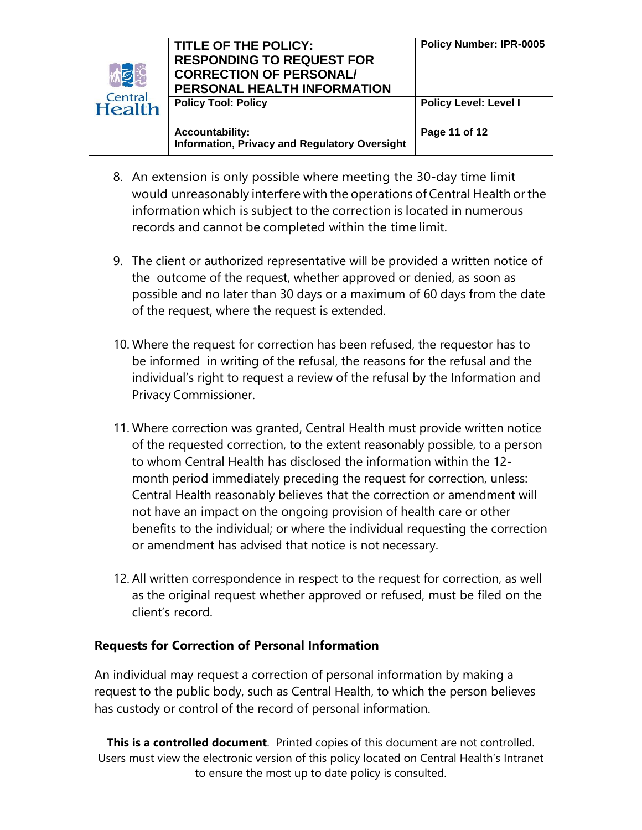|                          | TITLE OF THE POLICY:                                 | <b>Policy Number: IPR-0005</b> |
|--------------------------|------------------------------------------------------|--------------------------------|
|                          | <b>RESPONDING TO REQUEST FOR</b>                     |                                |
| TØ                       | <b>CORRECTION OF PERSONAL/</b>                       |                                |
|                          | PERSONAL HEALTH INFORMATION                          |                                |
| Central<br><b>Health</b> | <b>Policy Tool: Policy</b>                           | <b>Policy Level: Level I</b>   |
|                          |                                                      |                                |
|                          | <b>Accountability:</b>                               | Page 11 of 12                  |
|                          | <b>Information, Privacy and Regulatory Oversight</b> |                                |
|                          |                                                      |                                |

- 8. An extension is only possible where meeting the 30-day time limit would unreasonably interfere with the operations of Central Health orthe information which is subject to the correction is located in numerous records and cannot be completed within the time limit.
- 9. The client or authorized representative will be provided a written notice of the outcome of the request, whether approved or denied, as soon as possible and no later than 30 days or a maximum of 60 days from the date of the request, where the request is extended.
- 10. Where the request for correction has been refused, the requestor has to be informed in writing of the refusal, the reasons for the refusal and the individual's right to request a review of the refusal by the Information and Privacy Commissioner.
- 11. Where correction was granted, Central Health must provide written notice of the requested correction, to the extent reasonably possible, to a person to whom Central Health has disclosed the information within the 12 month period immediately preceding the request for correction, unless: Central Health reasonably believes that the correction or amendment will not have an impact on the ongoing provision of health care or other benefits to the individual; or where the individual requesting the correction or amendment has advised that notice is not necessary.
- 12. All written correspondence in respect to the request for correction, as well as the original request whether approved or refused, must be filed on the client's record.

## **Requests for Correction of Personal Information**

An individual may request a correction of personal information by making a request to the public body, such as Central Health, to which the person believes has custody or control of the record of personal information.